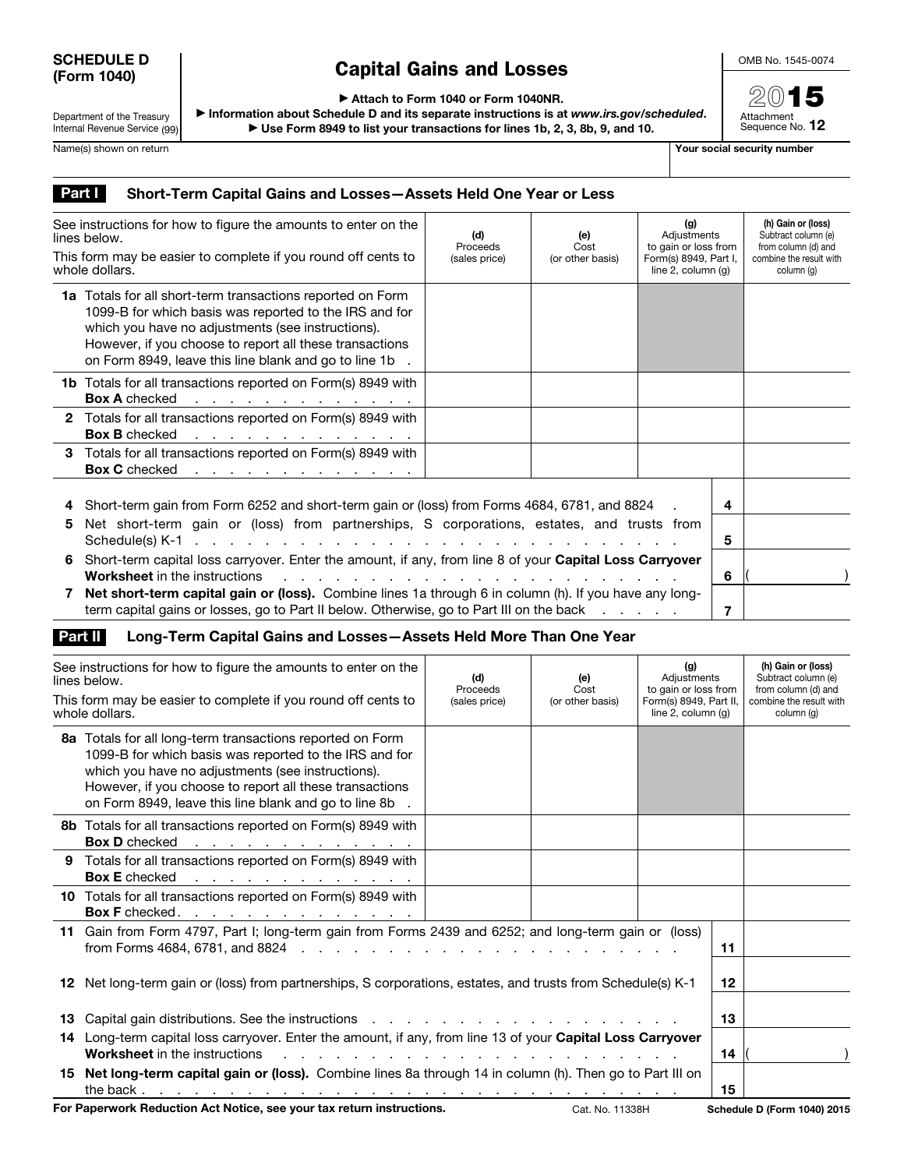## SCHEDULE D (Form 1040)

## Capital Gains and Losses

OMB No. 1545-0074

2015 Attachment<br>Sequence No. **12** 

▶ Attach to Form 1040 or Form 1040NR.

Department of the Treasury Internal Revenue Service (99) ▶ Information about Schedule D and its separate instructions is at *www.irs.gov/scheduled*. ▶ Use Form 8949 to list your transactions for lines 1b, 2, 3, 8b, 9, and 10.

Name(s) shown on return The Contract of the Contract of the Contract of The Contract of The Contract of The Contract of The Contract of The Contract of The Contract of The Contract of The Contract of The Contract of The Co

## Part | Short-Term Capital Gains and Losses-Assets Held One Year or Less

| See instructions for how to figure the amounts to enter on the<br>lines below.<br>This form may be easier to complete if you round off cents to<br>whole dollars. |                                                                                                                                                                                                                                                                                                       | (d)<br>Proceeds<br>(sales price) | (g)<br>Adjustments<br>(e)<br>to gain or loss from<br>Cost<br>Form(s) 8949, Part I,<br>(or other basis)<br>line 2, column (q) |  |        | (h) Gain or (loss)<br>Subtract column (e)<br>from column (d) and<br>combine the result with<br>column (g) |
|-------------------------------------------------------------------------------------------------------------------------------------------------------------------|-------------------------------------------------------------------------------------------------------------------------------------------------------------------------------------------------------------------------------------------------------------------------------------------------------|----------------------------------|------------------------------------------------------------------------------------------------------------------------------|--|--------|-----------------------------------------------------------------------------------------------------------|
|                                                                                                                                                                   | <b>1a</b> Totals for all short-term transactions reported on Form<br>1099-B for which basis was reported to the IRS and for<br>which you have no adjustments (see instructions).<br>However, if you choose to report all these transactions<br>on Form 8949, leave this line blank and go to line 1b. |                                  |                                                                                                                              |  |        |                                                                                                           |
|                                                                                                                                                                   | <b>1b</b> Totals for all transactions reported on Form(s) 8949 with<br><b>Box A</b> checked<br>the contract of the contract of the contract of                                                                                                                                                        |                                  |                                                                                                                              |  |        |                                                                                                           |
|                                                                                                                                                                   | 2 Totals for all transactions reported on Form(s) 8949 with<br><b>Box B</b> checked<br>the contract of the contract of the contract of                                                                                                                                                                |                                  |                                                                                                                              |  |        |                                                                                                           |
|                                                                                                                                                                   | 3 Totals for all transactions reported on Form(s) 8949 with<br>Box C checked <u>.</u>                                                                                                                                                                                                                 |                                  |                                                                                                                              |  |        |                                                                                                           |
| 5                                                                                                                                                                 | Short-term gain from Form 6252 and short-term gain or (loss) from Forms 4684, 6781, and 8824<br>Net short-term gain or (loss) from partnerships, S corporations, estates, and trusts from                                                                                                             |                                  |                                                                                                                              |  |        |                                                                                                           |
| 6                                                                                                                                                                 | Schedule(s) K-1 $\ldots$ $\ldots$ $\ldots$ $\ldots$ $\ldots$ $\ldots$ $\ldots$ $\ldots$ $\ldots$ $\ldots$ $\ldots$ $\ldots$ $\ldots$<br>Short-term capital loss carryover. Enter the amount, if any, from line 8 of your Capital Loss Carryover<br><b>Worksheet</b> in the instructions<br>.          |                                  |                                                                                                                              |  | 5<br>6 |                                                                                                           |
|                                                                                                                                                                   | Net short-term capital gain or (loss). Combine lines 1a through 6 in column (h). If you have any long-<br>term capital gains or losses, go to Part II below. Otherwise, go to Part III on the back                                                                                                    |                                  |                                                                                                                              |  |        |                                                                                                           |

## Part II Long-Term Capital Gains and Losses-Assets Held More Than One Year

| See instructions for how to figure the amounts to enter on the<br>lines below.<br>This form may be easier to complete if you round off cents to<br>whole dollars. |                                                                                                                                                                                                                                                                                              | (d)<br>Proceeds<br>(sales price) | (e)<br>Cost<br>(or other basis) | (g)<br>Adjustments<br>to gain or loss from<br>Form(s) 8949, Part II,<br>line $2$ , column $(q)$ |    | (h) Gain or (loss)<br>Subtract column (e)<br>from column (d) and<br>combine the result with<br>column (q) |
|-------------------------------------------------------------------------------------------------------------------------------------------------------------------|----------------------------------------------------------------------------------------------------------------------------------------------------------------------------------------------------------------------------------------------------------------------------------------------|----------------------------------|---------------------------------|-------------------------------------------------------------------------------------------------|----|-----------------------------------------------------------------------------------------------------------|
|                                                                                                                                                                   | 8a Totals for all long-term transactions reported on Form<br>1099-B for which basis was reported to the IRS and for<br>which you have no adjustments (see instructions).<br>However, if you choose to report all these transactions<br>on Form 8949, leave this line blank and go to line 8b |                                  |                                 |                                                                                                 |    |                                                                                                           |
|                                                                                                                                                                   | <b>8b</b> Totals for all transactions reported on Form(s) 8949 with<br><b>Box D</b> checked<br>the contract of the contract of the contract of                                                                                                                                               |                                  |                                 |                                                                                                 |    |                                                                                                           |
|                                                                                                                                                                   | 9 Totals for all transactions reported on Form(s) 8949 with<br><b>Box E</b> checked<br>the contract of the contract of the contract of the                                                                                                                                                   |                                  |                                 |                                                                                                 |    |                                                                                                           |
|                                                                                                                                                                   | 10 Totals for all transactions reported on Form(s) 8949 with<br>Box F checked. <u>.</u>                                                                                                                                                                                                      |                                  |                                 |                                                                                                 |    |                                                                                                           |
|                                                                                                                                                                   | 11 Gain from Form 4797, Part I; long-term gain from Forms 2439 and 6252; and long-term gain or (loss)                                                                                                                                                                                        |                                  |                                 |                                                                                                 | 11 |                                                                                                           |
|                                                                                                                                                                   | 12 Net long-term gain or (loss) from partnerships, S corporations, estates, and trusts from Schedule(s) K-1                                                                                                                                                                                  |                                  |                                 |                                                                                                 | 12 |                                                                                                           |
|                                                                                                                                                                   | 13 Capital gain distributions. See the instructions enter the contract of the capital capital capital in the contract of the instructions of the contract of the contract of the contract of the contract of the contract of t                                                               |                                  |                                 |                                                                                                 | 13 |                                                                                                           |
|                                                                                                                                                                   | 14 Long-term capital loss carryover. Enter the amount, if any, from line 13 of your Capital Loss Carryover<br><b>Worksheet</b> in the instructions                                                                                                                                           |                                  |                                 |                                                                                                 | 14 |                                                                                                           |
|                                                                                                                                                                   | 15 Net long-term capital gain or (loss). Combine lines 8a through 14 in column (h). Then go to Part III on                                                                                                                                                                                   |                                  |                                 |                                                                                                 | 15 |                                                                                                           |